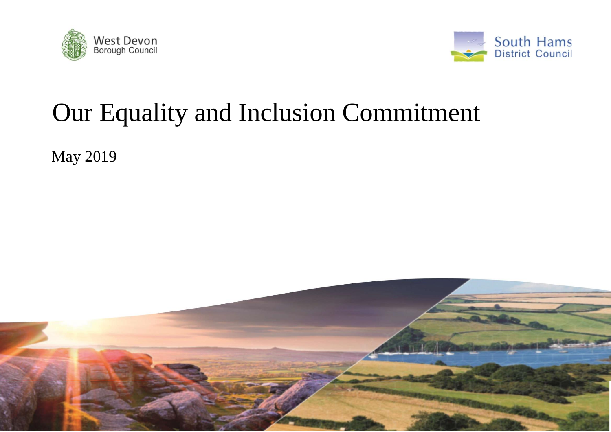



# Our Equality and Inclusion Commitment

May 2019

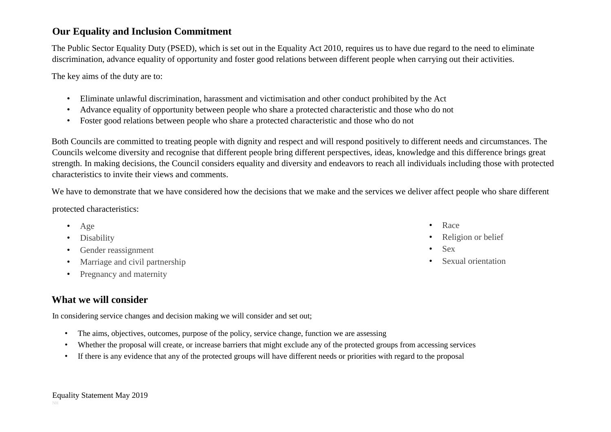#### **Our Equality and Inclusion Commitment**

The Public Sector Equality Duty (PSED), which is set out in the Equality Act 2010, requires us to have due regard to the need to eliminate discrimination, advance equality of opportunity and foster good relations between different people when carrying out their activities.

The key aims of the duty are to:

- Eliminate unlawful discrimination, harassment and victimisation and other conduct prohibited by the Act
- Advance equality of opportunity between people who share a protected characteristic and those who do not
- Foster good relations between people who share a protected characteristic and those who do not

Both Councils are committed to treating people with dignity and respect and will respond positively to different needs and circumstances. The Councils welcome diversity and recognise that different people bring different perspectives, ideas, knowledge and this difference brings great strength. In making decisions, the Council considers equality and diversity and endeavors to reach all individuals including those with protected characteristics to invite their views and comments.

We have to demonstrate that we have considered how the decisions that we make and the services we deliver affect people who share different

protected characteristics:

- Age
- Disability
- Gender reassignment
- Marriage and civil partnership
- Pregnancy and maternity

# **What we will consider**

In considering service changes and decision making we will consider and set out;

- The aims, objectives, outcomes, purpose of the policy, service change, function we are assessing
- Whether the proposal will create, or increase barriers that might exclude any of the protected groups from accessing services
- If there is any evidence that any of the protected groups will have different needs or priorities with regard to the proposal

• Race

- Religion or belief
- Sex
- Sexual orientation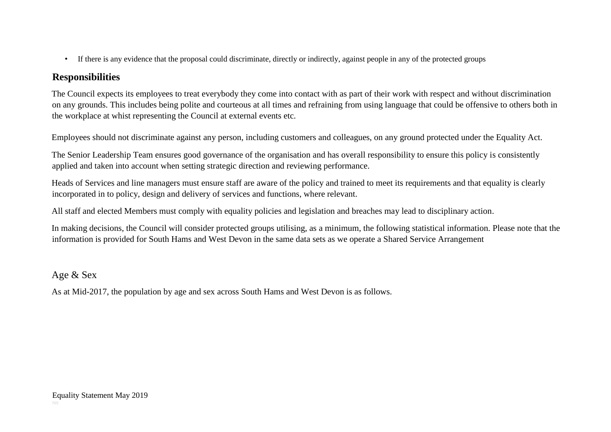• If there is any evidence that the proposal could discriminate, directly or indirectly, against people in any of the protected groups

## **Responsibilities**

The Council expects its employees to treat everybody they come into contact with as part of their work with respect and without discrimination on any grounds. This includes being polite and courteous at all times and refraining from using language that could be offensive to others both in the workplace at whist representing the Council at external events etc.

Employees should not discriminate against any person, including customers and colleagues, on any ground protected under the Equality Act.

The Senior Leadership Team ensures good governance of the organisation and has overall responsibility to ensure this policy is consistently applied and taken into account when setting strategic direction and reviewing performance.

Heads of Services and line managers must ensure staff are aware of the policy and trained to meet its requirements and that equality is clearly incorporated in to policy, design and delivery of services and functions, where relevant.

All staff and elected Members must comply with equality policies and legislation and breaches may lead to disciplinary action.

In making decisions, the Council will consider protected groups utilising, as a minimum, the following statistical information. Please note that the information is provided for South Hams and West Devon in the same data sets as we operate a Shared Service Arrangement

Age & Sex

As at Mid-2017, the population by age and sex across South Hams and West Devon is as follows.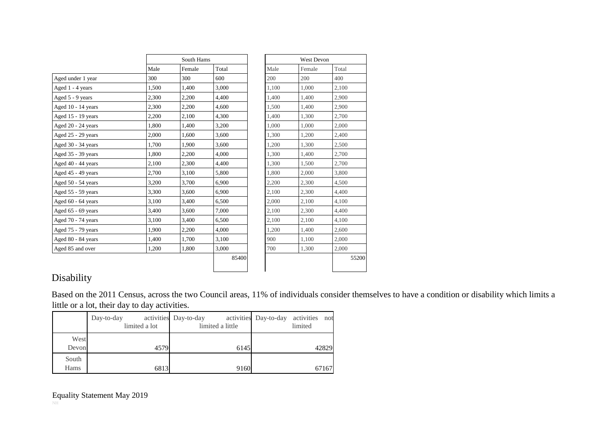|                    |       | South Hams |       |       | <b>West Devon</b> |       |
|--------------------|-------|------------|-------|-------|-------------------|-------|
|                    | Male  | Female     | Total | Male  | Female            | Total |
| Aged under 1 year  | 300   | 300        | 600   | 200   | 200               | 400   |
| Aged 1 - 4 years   | 1,500 | 1,400      | 3,000 | 1.100 | 1,000             | 2,100 |
| Aged 5 - 9 years   | 2,300 | 2,200      | 4,400 | 1,400 | 1,400             | 2,900 |
| Aged 10 - 14 years | 2,300 | 2,200      | 4,600 | 1,500 | 1,400             | 2,900 |
| Aged 15 - 19 years | 2,200 | 2,100      | 4,300 | 1,400 | 1,300             | 2,700 |
| Aged 20 - 24 years | 1,800 | 1,400      | 3,200 | 1,000 | 1,000             | 2,000 |
| Aged 25 - 29 years | 2,000 | 1,600      | 3,600 | 1,300 | 1,200             | 2,400 |
| Aged 30 - 34 years | 1.700 | 1,900      | 3,600 | 1,200 | 1,300             | 2,500 |
| Aged 35 - 39 years | 1,800 | 2,200      | 4.000 | 1.300 | 1,400             | 2,700 |
| Aged 40 - 44 years | 2,100 | 2,300      | 4,400 | 1,300 | 1,500             | 2,700 |
| Aged 45 - 49 years | 2,700 | 3,100      | 5,800 | 1,800 | 2,000             | 3,800 |
| Aged 50 - 54 years | 3,200 | 3,700      | 6,900 | 2,200 | 2,300             | 4,500 |
| Aged 55 - 59 years | 3,300 | 3,600      | 6,900 | 2,100 | 2,300             | 4,400 |
| Aged 60 - 64 years | 3,100 | 3,400      | 6,500 | 2,000 | 2,100             | 4,100 |
| Aged 65 - 69 years | 3,400 | 3,600      | 7,000 | 2,100 | 2,300             | 4,400 |
| Aged 70 - 74 years | 3,100 | 3,400      | 6,500 | 2,100 | 2,100             | 4,100 |
| Aged 75 - 79 years | 1,900 | 2,200      | 4,000 | 1,200 | 1,400             | 2,600 |
| Aged 80 - 84 years | 1,400 | 1,700      | 3,100 | 900   | 1,100             | 2,000 |
| Aged 85 and over   | 1,200 | 1,800      | 3,000 | 700   | 1,300             | 2,000 |
|                    |       |            | 85400 |       |                   |       |

|       | <b>West Devon</b> |       |
|-------|-------------------|-------|
| Male  | Female            | Total |
| 200   | 200               | 400   |
| 1,100 | 1,000             | 2,100 |
| 1,400 | 1,400             | 2,900 |
| 1,500 | 1,400             | 2,900 |
| 1,400 | 1,300             | 2,700 |
| 1,000 | 1,000             | 2,000 |
| 1,300 | 1,200             | 2,400 |
| 1,200 | 1,300             | 2,500 |
| 1,300 | 1,400             | 2,700 |
| 1,300 | 1,500             | 2,700 |
| 1,800 | 2,000             | 3,800 |
| 2,200 | 2,300             | 4,500 |
| 2,100 | 2,300             | 4,400 |
| 2,000 | 2,100             | 4,100 |
| 2,100 | 2,300             | 4,400 |
| 2,100 | 2,100             | 4,100 |
| 1,200 | 1,400             | 2,600 |
| 900   | 1,100             | 2,000 |
| 700   | 1,300             | 2,000 |
|       |                   | 55200 |
|       |                   |       |

# Disability

Based on the 2011 Census, across the two Council areas, 11% of individuals consider themselves to have a condition or disability which limits a little or a lot, their day to day activities.

|                      | Day-to-day<br>limited a lot | activities Day-to-day<br>limited a little | activities Day-to-day activities not<br>limited |
|----------------------|-----------------------------|-------------------------------------------|-------------------------------------------------|
| West<br>Devon        | 4579                        | 6145                                      | 42829                                           |
| South<br><b>Hams</b> | 6813                        | 9160                                      | 67167                                           |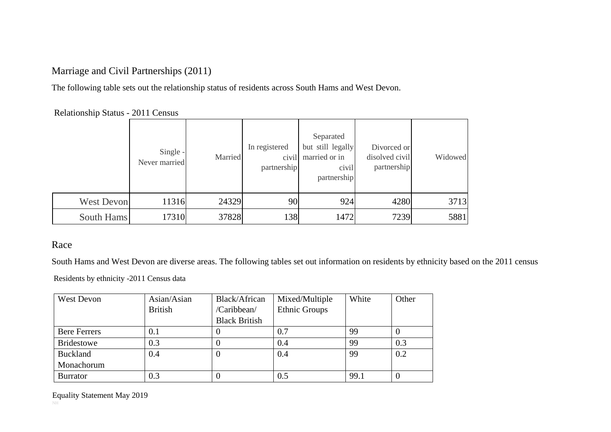## Marriage and Civil Partnerships (2011)

The following table sets out the relationship status of residents across South Hams and West Devon.

Relationship Status - 2011 Census

|                   | Single -<br>Never married | Married | In registered<br>civil<br>partnership | Separated<br>but still legally<br>married or in<br>civil<br>partnership | Divorced or<br>disolved civil<br>partnership | Widowed |
|-------------------|---------------------------|---------|---------------------------------------|-------------------------------------------------------------------------|----------------------------------------------|---------|
| <b>West Devon</b> | 11316                     | 24329   | 90                                    | 924                                                                     | 4280                                         | 3713    |
| South Hams        | 17310                     | 37828   | 138                                   | 1472                                                                    | 7239                                         | 5881    |

#### Race

South Hams and West Devon are diverse areas. The following tables set out information on residents by ethnicity based on the 2011 census

Residents by ethnicity -2011 Census data

| <b>West Devon</b>   | Asian/Asian    | Black/African        | Mixed/Multiple       | White | Other    |
|---------------------|----------------|----------------------|----------------------|-------|----------|
|                     | <b>British</b> | /Caribbean/          | <b>Ethnic Groups</b> |       |          |
|                     |                | <b>Black British</b> |                      |       |          |
| <b>Bere Ferrers</b> | 0.1            |                      | 0.7                  | 99    | $\theta$ |
| <b>Bridestowe</b>   | 0.3            |                      | 0.4                  | 99    | 0.3      |
| <b>Buckland</b>     | 0.4            |                      | 0.4                  | 99    | 0.2      |
| Monachorum          |                |                      |                      |       |          |
| <b>Burrator</b>     | 0.3            |                      | 0.5                  | 99.1  | $\Omega$ |

Equality Statement May 2019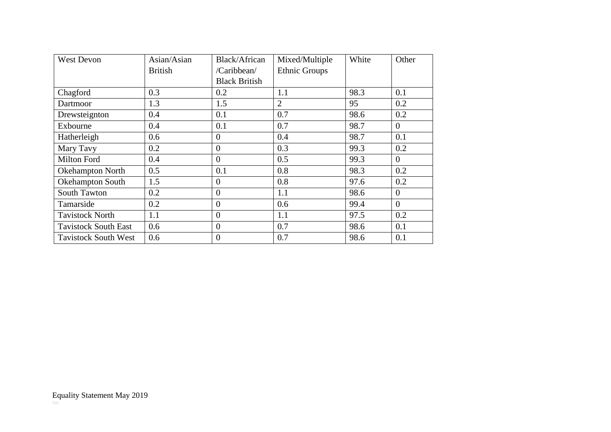| <b>West Devon</b>           | Asian/Asian    | Black/African        | Mixed/Multiple       | White | Other          |
|-----------------------------|----------------|----------------------|----------------------|-------|----------------|
|                             | <b>British</b> | /Caribbean/          | <b>Ethnic Groups</b> |       |                |
|                             |                | <b>Black British</b> |                      |       |                |
| Chagford                    | 0.3            | 0.2                  | 1.1                  | 98.3  | 0.1            |
| Dartmoor                    | 1.3            | 1.5                  | $\overline{2}$       | 95    | 0.2            |
| Drewsteignton               | 0.4            | 0.1                  | 0.7                  | 98.6  | 0.2            |
| Exbourne                    | 0.4            | 0.1                  | 0.7                  | 98.7  | $\overline{0}$ |
| Hatherleigh                 | 0.6            | $\theta$             | 0.4                  | 98.7  | 0.1            |
| Mary Tavy                   | 0.2            | $\theta$             | 0.3                  | 99.3  | 0.2            |
| Milton Ford                 | 0.4            | $\theta$             | 0.5                  | 99.3  | $\overline{0}$ |
| <b>Okehampton North</b>     | 0.5            | 0.1                  | 0.8                  | 98.3  | 0.2            |
| Okehampton South            | 1.5            | $\theta$             | 0.8                  | 97.6  | 0.2            |
| <b>South Tawton</b>         | 0.2            | $\overline{0}$       | 1.1                  | 98.6  | $\theta$       |
| Tamarside                   | 0.2            | $\theta$             | 0.6                  | 99.4  | $\overline{0}$ |
| <b>Tavistock North</b>      | 1.1            | $\overline{0}$       | 1.1                  | 97.5  | 0.2            |
| <b>Tavistock South East</b> | 0.6            | $\overline{0}$       | 0.7                  | 98.6  | 0.1            |
| <b>Tavistock South West</b> | 0.6            | $\theta$             | 0.7                  | 98.6  | 0.1            |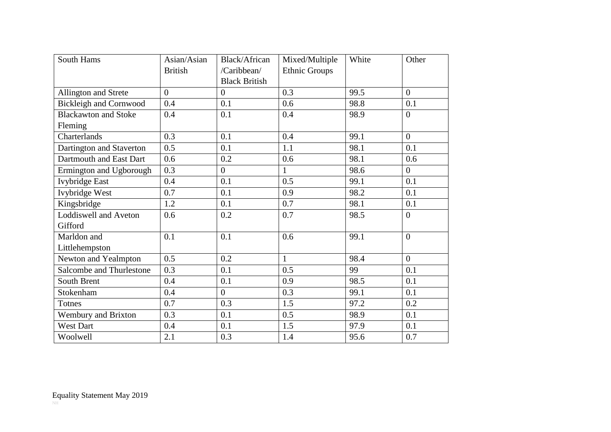| <b>South Hams</b>             | Asian/Asian    | Black/African        | Mixed/Multiple       | White | Other          |
|-------------------------------|----------------|----------------------|----------------------|-------|----------------|
|                               | <b>British</b> | /Caribbean/          | <b>Ethnic Groups</b> |       |                |
|                               |                | <b>Black British</b> |                      |       |                |
| Allington and Strete          | $\overline{0}$ | $\overline{0}$       | 0.3                  | 99.5  | $\overline{0}$ |
| <b>Bickleigh and Cornwood</b> | 0.4            | 0.1                  | 0.6                  | 98.8  | 0.1            |
| <b>Blackawton and Stoke</b>   | 0.4            | 0.1                  | 0.4                  | 98.9  | $\overline{0}$ |
| Fleming                       |                |                      |                      |       |                |
| Charterlands                  | 0.3            | 0.1                  | 0.4                  | 99.1  | $\overline{0}$ |
| Dartington and Staverton      | 0.5            | 0.1                  | 1.1                  | 98.1  | 0.1            |
| Dartmouth and East Dart       | 0.6            | 0.2                  | 0.6                  | 98.1  | 0.6            |
| Ermington and Ugborough       | 0.3            | $\overline{0}$       | $\mathbf{1}$         | 98.6  | $\overline{0}$ |
| <b>Ivybridge East</b>         | 0.4            | 0.1                  | 0.5                  | 99.1  | 0.1            |
| Ivybridge West                | 0.7            | 0.1                  | 0.9                  | 98.2  | 0.1            |
| Kingsbridge                   | 1.2            | 0.1                  | 0.7                  | 98.1  | 0.1            |
| <b>Loddiswell and Aveton</b>  | 0.6            | 0.2                  | 0.7                  | 98.5  | $\overline{0}$ |
| Gifford                       |                |                      |                      |       |                |
| Marldon and                   | 0.1            | 0.1                  | 0.6                  | 99.1  | $\overline{0}$ |
| Littlehempston                |                |                      |                      |       |                |
| Newton and Yealmpton          | 0.5            | 0.2                  | $\mathbf{1}$         | 98.4  | $\theta$       |
| Salcombe and Thurlestone      | 0.3            | 0.1                  | 0.5                  | 99    | 0.1            |
| South Brent                   | 0.4            | 0.1                  | 0.9                  | 98.5  | 0.1            |
| Stokenham                     | 0.4            | $\boldsymbol{0}$     | 0.3                  | 99.1  | 0.1            |
| <b>Totnes</b>                 | 0.7            | 0.3                  | 1.5                  | 97.2  | 0.2            |
| Wembury and Brixton           | 0.3            | 0.1                  | 0.5                  | 98.9  | 0.1            |
| West Dart                     | 0.4            | 0.1                  | 1.5                  | 97.9  | 0.1            |
| Woolwell                      | 2.1            | 0.3                  | 1.4                  | 95.6  | 0.7            |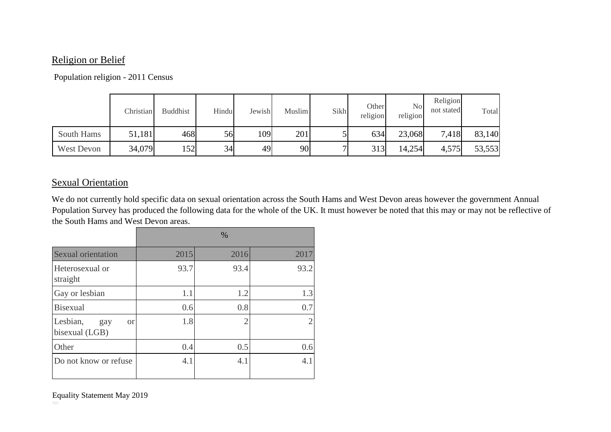#### Religion or Belief

#### Population religion - 2011 Census

|            | Christian | <b>Buddhist</b> | Hindu | Jewish | <b>Muslim</b> | Sikh | Other<br>religion | N <sub>o</sub><br>religion | Religion<br>not stated | Total  |
|------------|-----------|-----------------|-------|--------|---------------|------|-------------------|----------------------------|------------------------|--------|
| South Hams | 51,181    | 468             | 56    | 109    | 201           |      | 634               | 23,068                     | 7,418                  | 83,140 |
| West Devon | 34,079    | 152             | 34    | 49     | 90            | ┍┓   | 313               | 14,254                     | 4,575                  | 53,553 |

#### Sexual Orientation

We do not currently hold specific data on sexual orientation across the South Hams and West Devon areas however the government Annual Population Survey has produced the following data for the whole of the UK. It must however be noted that this may or may not be reflective of the South Hams and West Devon areas.

|                                                |      | $\%$ |                |
|------------------------------------------------|------|------|----------------|
| <b>Sexual orientation</b>                      | 2015 | 2016 | 2017           |
| Heterosexual or<br>straight                    | 93.7 | 93.4 | 93.2           |
| Gay or lesbian                                 | 1.1  | 1.2  | 1.3            |
| <b>Bisexual</b>                                | 0.6  | 0.8  | 0.7            |
| Lesbian,<br><b>or</b><br>gay<br>bisexual (LGB) | 1.8  | 2    | $\overline{2}$ |
| Other                                          | 0.4  | 0.5  | 0.6            |
| Do not know or refuse                          | 4.1  | 4.1  | 4.1            |

Equality Statement May 2019